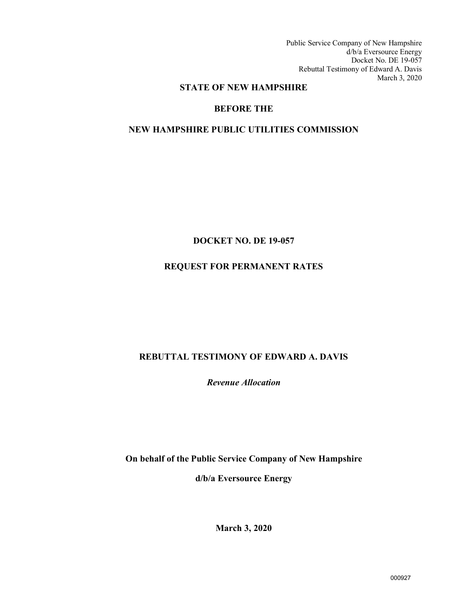Public Service Company of New Hampshire d/b/a Eversource Energy Docket No. DE 19-057 Rebuttal Testimony of Edward A. Davis March 3, 2020

### **STATE OF NEW HAMPSHIRE**

### **BEFORE THE**

### **NEW HAMPSHIRE PUBLIC UTILITIES COMMISSION**

### **DOCKET NO. DE 19-057**

# **REQUEST FOR PERMANENT RATES**

# **REBUTTAL TESTIMONY OF EDWARD A. DAVIS**

*Revenue Allocation* 

**On behalf of the Public Service Company of New Hampshire d/b/a Eversource Energy**

**March 3, 2020**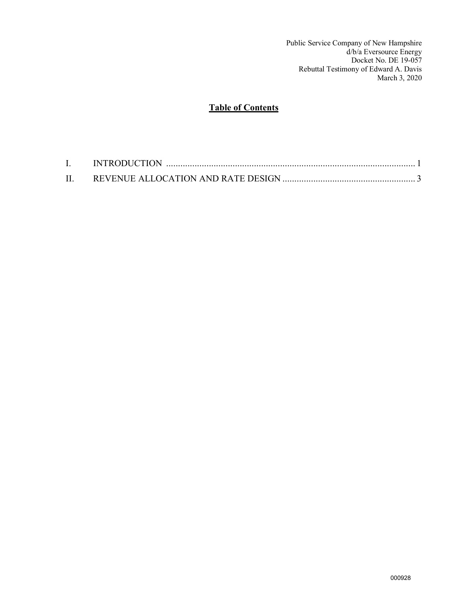Public Service Company of New Hampshire d/b/a Eversource Energy Docket No. DE 19-057 Rebuttal Testimony of Edward A. Davis March 3, 2020

# **Table of Contents**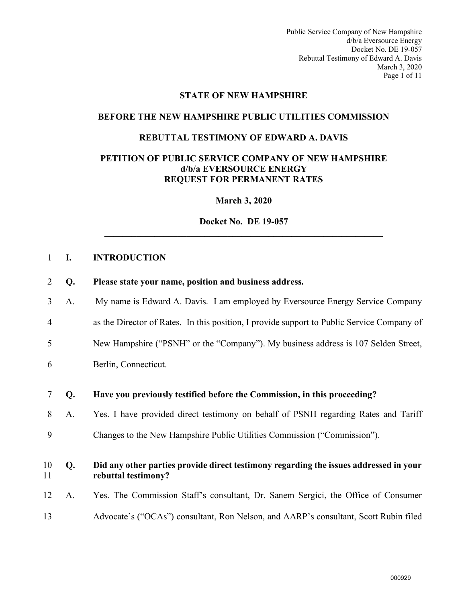Public Service Company of New Hampshire d/b/a Eversource Energy Docket No. DE 19-057 Rebuttal Testimony of Edward A. Davis March 3, 2020 Page 1 of 11

#### **STATE OF NEW HAMPSHIRE**

#### **BEFORE THE NEW HAMPSHIRE PUBLIC UTILITIES COMMISSION**

#### **REBUTTAL TESTIMONY OF EDWARD A. DAVIS**

#### **PETITION OF PUBLIC SERVICE COMPANY OF NEW HAMPSHIRE d/b/a EVERSOURCE ENERGY REQUEST FOR PERMANENT RATES**

**March 3, 2020**

**Docket No. DE 19-057 \_\_\_\_\_\_\_\_\_\_\_\_\_\_\_\_\_\_\_\_\_\_\_\_\_\_\_\_\_\_\_\_\_\_\_\_\_\_\_\_\_\_\_\_\_\_\_\_\_\_\_\_\_\_\_\_\_\_\_\_\_** 

#### <span id="page-2-0"></span>1 **I. INTRODUCTION**

- 2 **Q. Please state your name, position and business address.**
- 3 A. My name is Edward A. Davis. I am employed by Eversource Energy Service Company
- 4 as the Director of Rates. In this position, I provide support to Public Service Company of
- 5 New Hampshire ("PSNH" or the "Company"). My business address is 107 Selden Street,
- 6 Berlin, Connecticut.
- 7 **Q. Have you previously testified before the Commission, in this proceeding?**
- 8 A. Yes. I have provided direct testimony on behalf of PSNH regarding Rates and Tariff
- 9 Changes to the New Hampshire Public Utilities Commission ("Commission").

### 10 **Q. Did any other parties provide direct testimony regarding the issues addressed in your**  11 **rebuttal testimony?**

- 12 A. Yes. The Commission Staff's consultant, Dr. Sanem Sergici, the Office of Consumer
- 13 Advocate's ("OCAs") consultant, Ron Nelson, and AARP's consultant, Scott Rubin filed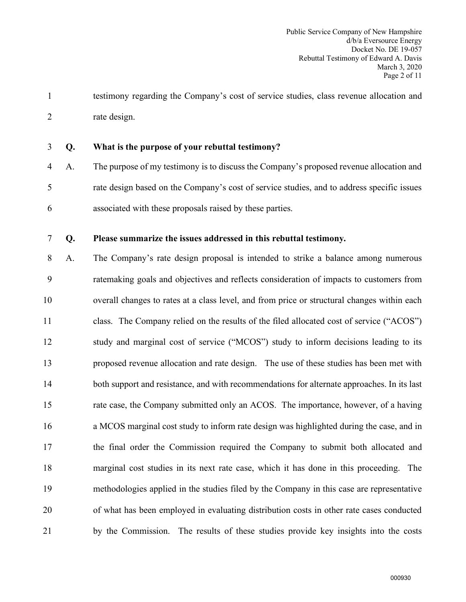1 testimony regarding the Company's cost of service studies, class revenue allocation and 2 rate design.

- 3 **Q. What is the purpose of your rebuttal testimony?**
- 4 A. The purpose of my testimony is to discuss the Company's proposed revenue allocation and 5 rate design based on the Company's cost of service studies, and to address specific issues 6 associated with these proposals raised by these parties.

### 7 **Q. Please summarize the issues addressed in this rebuttal testimony.**

8 A. The Company's rate design proposal is intended to strike a balance among numerous 9 ratemaking goals and objectives and reflects consideration of impacts to customers from 10 overall changes to rates at a class level, and from price or structural changes within each 11 class. The Company relied on the results of the filed allocated cost of service ("ACOS") 12 study and marginal cost of service ("MCOS") study to inform decisions leading to its 13 proposed revenue allocation and rate design. The use of these studies has been met with 14 both support and resistance, and with recommendations for alternate approaches. In its last 15 rate case, the Company submitted only an ACOS. The importance, however, of a having 16 a MCOS marginal cost study to inform rate design was highlighted during the case, and in 17 the final order the Commission required the Company to submit both allocated and 18 marginal cost studies in its next rate case, which it has done in this proceeding. The 19 methodologies applied in the studies filed by the Company in this case are representative 20 of what has been employed in evaluating distribution costs in other rate cases conducted 21 by the Commission. The results of these studies provide key insights into the costs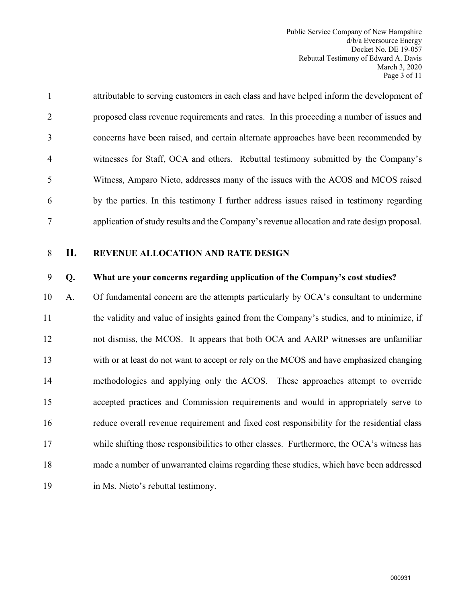Public Service Company of New Hampshire d/b/a Eversource Energy Docket No. DE 19-057 Rebuttal Testimony of Edward A. Davis March 3, 2020 Page 3 of 11

| $\mathbf{1}$   | attributable to serving customers in each class and have helped inform the development of   |
|----------------|---------------------------------------------------------------------------------------------|
| 2              | proposed class revenue requirements and rates. In this proceeding a number of issues and    |
| 3              | concerns have been raised, and certain alternate approaches have been recommended by        |
| $\overline{4}$ | witnesses for Staff, OCA and others. Rebuttal testimony submitted by the Company's          |
| 5              | Witness, Amparo Nieto, addresses many of the issues with the ACOS and MCOS raised           |
| 6              | by the parties. In this testimony I further address issues raised in testimony regarding    |
| 7              | application of study results and the Company's revenue allocation and rate design proposal. |

### <span id="page-4-0"></span>8 **II. REVENUE ALLOCATION AND RATE DESIGN**

### 9 **Q. What are your concerns regarding application of the Company's cost studies?**

10 A. Of fundamental concern are the attempts particularly by OCA's consultant to undermine 11 the validity and value of insights gained from the Company's studies, and to minimize, if 12 not dismiss, the MCOS. It appears that both OCA and AARP witnesses are unfamiliar 13 with or at least do not want to accept or rely on the MCOS and have emphasized changing 14 methodologies and applying only the ACOS. These approaches attempt to override 15 accepted practices and Commission requirements and would in appropriately serve to 16 reduce overall revenue requirement and fixed cost responsibility for the residential class 17 while shifting those responsibilities to other classes. Furthermore, the OCA's witness has 18 made a number of unwarranted claims regarding these studies, which have been addressed 19 in Ms. Nieto's rebuttal testimony.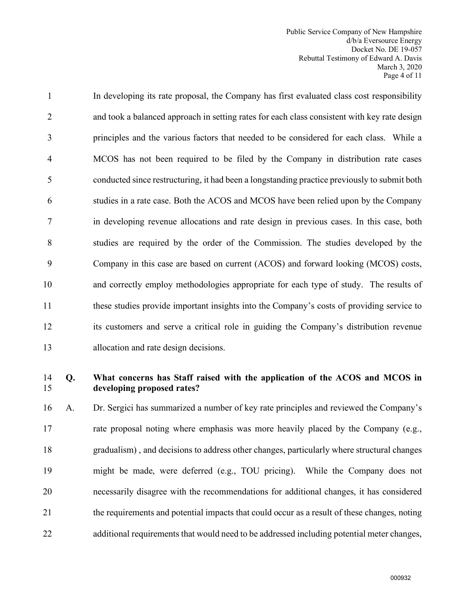Public Service Company of New Hampshire d/b/a Eversource Energy Docket No. DE 19-057 Rebuttal Testimony of Edward A. Davis March 3, 2020 Page 4 of 11

1 In developing its rate proposal, the Company has first evaluated class cost responsibility 2 and took a balanced approach in setting rates for each class consistent with key rate design 3 principles and the various factors that needed to be considered for each class. While a 4 MCOS has not been required to be filed by the Company in distribution rate cases 5 conducted since restructuring, it had been a longstanding practice previously to submit both 6 studies in a rate case. Both the ACOS and MCOS have been relied upon by the Company 7 in developing revenue allocations and rate design in previous cases. In this case, both 8 studies are required by the order of the Commission. The studies developed by the 9 Company in this case are based on current (ACOS) and forward looking (MCOS) costs, 10 and correctly employ methodologies appropriate for each type of study. The results of 11 these studies provide important insights into the Company's costs of providing service to 12 its customers and serve a critical role in guiding the Company's distribution revenue 13 allocation and rate design decisions.

### 14 **Q. What concerns has Staff raised with the application of the ACOS and MCOS in**  15 **developing proposed rates?**

16 A. Dr. Sergici has summarized a number of key rate principles and reviewed the Company's 17 rate proposal noting where emphasis was more heavily placed by the Company (e.g., 18 gradualism) , and decisions to address other changes, particularly where structural changes 19 might be made, were deferred (e.g., TOU pricing). While the Company does not 20 necessarily disagree with the recommendations for additional changes, it has considered 21 the requirements and potential impacts that could occur as a result of these changes, noting 22 additional requirements that would need to be addressed including potential meter changes,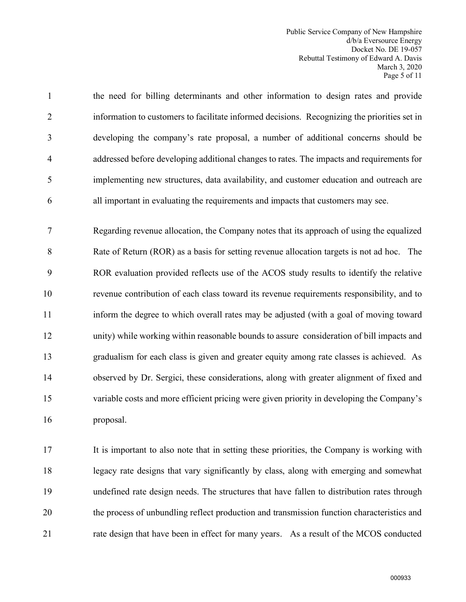Public Service Company of New Hampshire d/b/a Eversource Energy Docket No. DE 19-057 Rebuttal Testimony of Edward A. Davis March 3, 2020 Page 5 of 11

1 the need for billing determinants and other information to design rates and provide 2 information to customers to facilitate informed decisions. Recognizing the priorities set in 3 developing the company's rate proposal, a number of additional concerns should be 4 addressed before developing additional changes to rates. The impacts and requirements for 5 implementing new structures, data availability, and customer education and outreach are 6 all important in evaluating the requirements and impacts that customers may see.

7 Regarding revenue allocation, the Company notes that its approach of using the equalized 8 Rate of Return (ROR) as a basis for setting revenue allocation targets is not ad hoc. The 9 ROR evaluation provided reflects use of the ACOS study results to identify the relative 10 revenue contribution of each class toward its revenue requirements responsibility, and to 11 inform the degree to which overall rates may be adjusted (with a goal of moving toward 12 unity) while working within reasonable bounds to assure consideration of bill impacts and 13 gradualism for each class is given and greater equity among rate classes is achieved. As 14 observed by Dr. Sergici, these considerations, along with greater alignment of fixed and 15 variable costs and more efficient pricing were given priority in developing the Company's 16 proposal.

17 It is important to also note that in setting these priorities, the Company is working with 18 legacy rate designs that vary significantly by class, along with emerging and somewhat 19 undefined rate design needs. The structures that have fallen to distribution rates through 20 the process of unbundling reflect production and transmission function characteristics and 21 rate design that have been in effect for many years. As a result of the MCOS conducted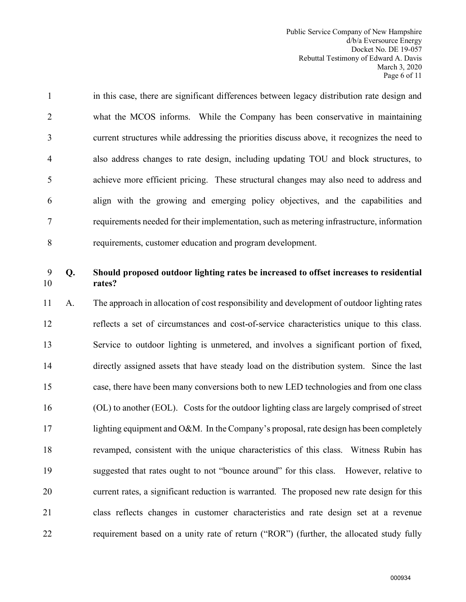Public Service Company of New Hampshire d/b/a Eversource Energy Docket No. DE 19-057 Rebuttal Testimony of Edward A. Davis March 3, 2020 Page 6 of 11

1 in this case, there are significant differences between legacy distribution rate design and 2 what the MCOS informs. While the Company has been conservative in maintaining 3 current structures while addressing the priorities discuss above, it recognizes the need to 4 also address changes to rate design, including updating TOU and block structures, to 5 achieve more efficient pricing. These structural changes may also need to address and 6 align with the growing and emerging policy objectives, and the capabilities and 7 requirements needed for their implementation, such as metering infrastructure, information 8 requirements, customer education and program development.

# 9 **Q. Should proposed outdoor lighting rates be increased to offset increases to residential**  10 **rates?**

11 A. The approach in allocation of cost responsibility and development of outdoor lighting rates 12 reflects a set of circumstances and cost-of-service characteristics unique to this class. 13 Service to outdoor lighting is unmetered, and involves a significant portion of fixed, 14 directly assigned assets that have steady load on the distribution system. Since the last 15 case, there have been many conversions both to new LED technologies and from one class 16 (OL) to another (EOL). Costs for the outdoor lighting class are largely comprised of street 17 lighting equipment and O&M. In the Company's proposal, rate design has been completely 18 revamped, consistent with the unique characteristics of this class. Witness Rubin has 19 suggested that rates ought to not "bounce around" for this class. However, relative to 20 current rates, a significant reduction is warranted. The proposed new rate design for this 21 class reflects changes in customer characteristics and rate design set at a revenue 22 requirement based on a unity rate of return ("ROR") (further, the allocated study fully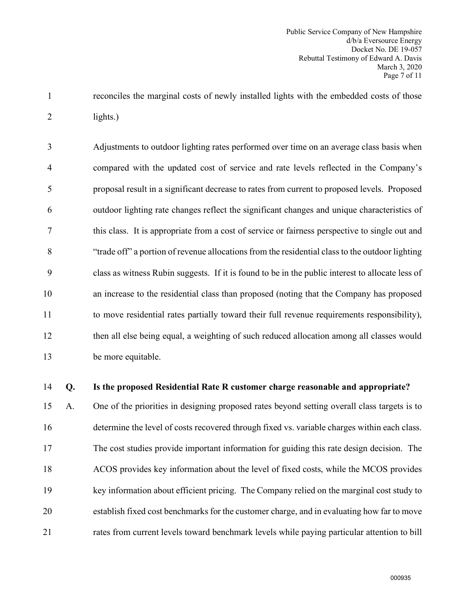1 reconciles the marginal costs of newly installed lights with the embedded costs of those 2 lights.)

3 Adjustments to outdoor lighting rates performed over time on an average class basis when 4 compared with the updated cost of service and rate levels reflected in the Company's 5 proposal result in a significant decrease to rates from current to proposed levels. Proposed 6 outdoor lighting rate changes reflect the significant changes and unique characteristics of 7 this class. It is appropriate from a cost of service or fairness perspective to single out and 8 "trade off" a portion of revenue allocations from the residential class to the outdoor lighting 9 class as witness Rubin suggests. If it is found to be in the public interest to allocate less of 10 an increase to the residential class than proposed (noting that the Company has proposed 11 to move residential rates partially toward their full revenue requirements responsibility), 12 then all else being equal, a weighting of such reduced allocation among all classes would 13 be more equitable.

### 14 **Q. Is the proposed Residential Rate R customer charge reasonable and appropriate?**

15 A. One of the priorities in designing proposed rates beyond setting overall class targets is to 16 determine the level of costs recovered through fixed vs. variable charges within each class. 17 The cost studies provide important information for guiding this rate design decision. The 18 ACOS provides key information about the level of fixed costs, while the MCOS provides 19 key information about efficient pricing. The Company relied on the marginal cost study to 20 establish fixed cost benchmarks for the customer charge, and in evaluating how far to move 21 rates from current levels toward benchmark levels while paying particular attention to bill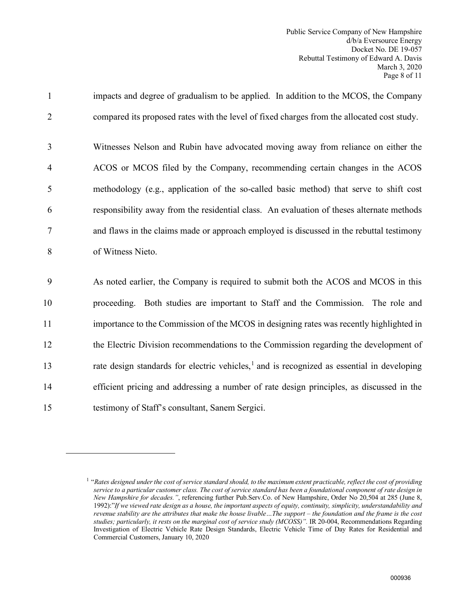1 impacts and degree of gradualism to be applied. In addition to the MCOS, the Company 2 compared its proposed rates with the level of fixed charges from the allocated cost study. 3 Witnesses Nelson and Rubin have advocated moving away from reliance on either the 4 ACOS or MCOS filed by the Company, recommending certain changes in the ACOS 5 methodology (e.g., application of the so-called basic method) that serve to shift cost 6 responsibility away from the residential class. An evaluation of theses alternate methods 7 and flaws in the claims made or approach employed is discussed in the rebuttal testimony 8 of Witness Nieto. 9 As noted earlier, the Company is required to submit both the ACOS and MCOS in this 10 proceeding. Both studies are important to Staff and the Commission. The role and 11 importance to the Commission of the MCOS in designing rates was recently highlighted in 12 the Electric Division recommendations to the Commission regarding the development of [1](#page-9-0)3 rate design standards for electric vehicles,<sup>1</sup> and is recognized as essential in developing 14 efficient pricing and addressing a number of rate design principles, as discussed in the 15 testimony of Staff's consultant, Sanem Sergici.

<span id="page-9-0"></span><sup>1</sup> "*Rates designed under the cost of service standard should, to the maximum extent practicable, reflect the cost of providing service to a particular customer class. The cost of service standard has been a foundational component of rate design in New Hampshire for decades."*, referencing further Pub.Serv.Co. of New Hampshire, Order No 20,504 at 285 (June 8, 1992):"*If we viewed rate design as a house, the important aspects of equity, continuity, simplicity, understandability and revenue stability are the attributes that make the house livable…The support – the foundation and the frame is the cost studies; particularly, it rests on the marginal cost of service study (MCOSS)".* IR 20-004, Recommendations Regarding Investigation of Electric Vehicle Rate Design Standards, Electric Vehicle Time of Day Rates for Residential and Commercial Customers, January 10, 2020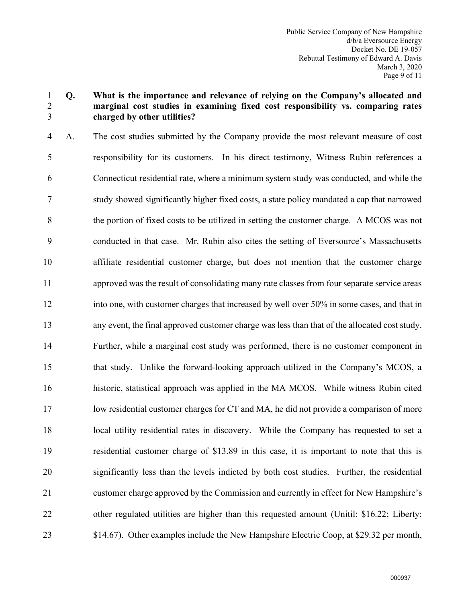### 1 **Q. What is the importance and relevance of relying on the Company's allocated and**  2 **marginal cost studies in examining fixed cost responsibility vs. comparing rates**  3 **charged by other utilities?**

4 A. The cost studies submitted by the Company provide the most relevant measure of cost 5 responsibility for its customers. In his direct testimony, Witness Rubin references a 6 Connecticut residential rate, where a minimum system study was conducted, and while the 7 study showed significantly higher fixed costs, a state policy mandated a cap that narrowed 8 the portion of fixed costs to be utilized in setting the customer charge. A MCOS was not 9 conducted in that case. Mr. Rubin also cites the setting of Eversource's Massachusetts 10 affiliate residential customer charge, but does not mention that the customer charge 11 approved was the result of consolidating many rate classes from four separate service areas 12 into one, with customer charges that increased by well over 50% in some cases, and that in 13 any event, the final approved customer charge was less than that of the allocated cost study. 14 Further, while a marginal cost study was performed, there is no customer component in 15 that study. Unlike the forward-looking approach utilized in the Company's MCOS, a 16 historic, statistical approach was applied in the MA MCOS. While witness Rubin cited 17 low residential customer charges for CT and MA, he did not provide a comparison of more 18 local utility residential rates in discovery. While the Company has requested to set a 19 residential customer charge of \$13.89 in this case, it is important to note that this is 20 significantly less than the levels indicted by both cost studies. Further, the residential 21 customer charge approved by the Commission and currently in effect for New Hampshire's 22 other regulated utilities are higher than this requested amount (Unitil: \$16.22; Liberty: 23 \$14.67). Other examples include the New Hampshire Electric Coop, at \$29.32 per month,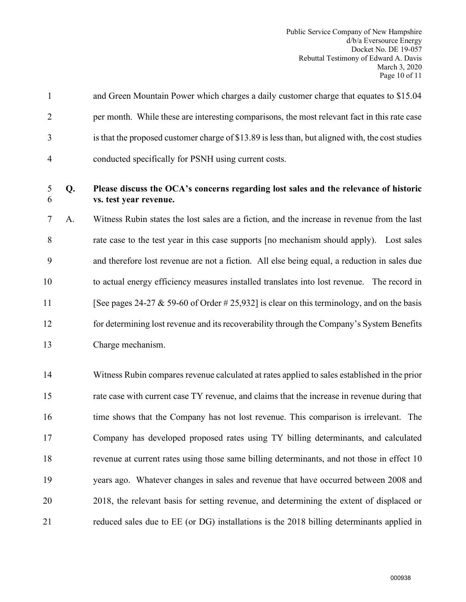|                | and Green Mountain Power which charges a daily customer charge that equates to \$15.04           |
|----------------|--------------------------------------------------------------------------------------------------|
| 2              | per month. While these are interesting comparisons, the most relevant fact in this rate case     |
| 3              | is that the proposed customer charge of \$13.89 is less than, but aligned with, the cost studies |
| $\overline{4}$ | conducted specifically for PSNH using current costs.                                             |

# 5 **Q. Please discuss the OCA's concerns regarding lost sales and the relevance of historic**  6 **vs. test year revenue.**

7 A. Witness Rubin states the lost sales are a fiction, and the increase in revenue from the last 8 rate case to the test year in this case supports [no mechanism should apply). Lost sales 9 and therefore lost revenue are not a fiction. All else being equal, a reduction in sales due 10 to actual energy efficiency measures installed translates into lost revenue. The record in 11 [See pages 24-27  $\&$  59-60 of Order # 25,932] is clear on this terminology, and on the basis 12 for determining lost revenue and its recoverability through the Company's System Benefits 13 Charge mechanism.

14 Witness Rubin compares revenue calculated at rates applied to sales established in the prior 15 rate case with current case TY revenue, and claims that the increase in revenue during that 16 time shows that the Company has not lost revenue. This comparison is irrelevant. The 17 Company has developed proposed rates using TY billing determinants, and calculated 18 revenue at current rates using those same billing determinants, and not those in effect 10 19 years ago. Whatever changes in sales and revenue that have occurred between 2008 and 20 2018, the relevant basis for setting revenue, and determining the extent of displaced or 21 reduced sales due to EE (or DG) installations is the 2018 billing determinants applied in